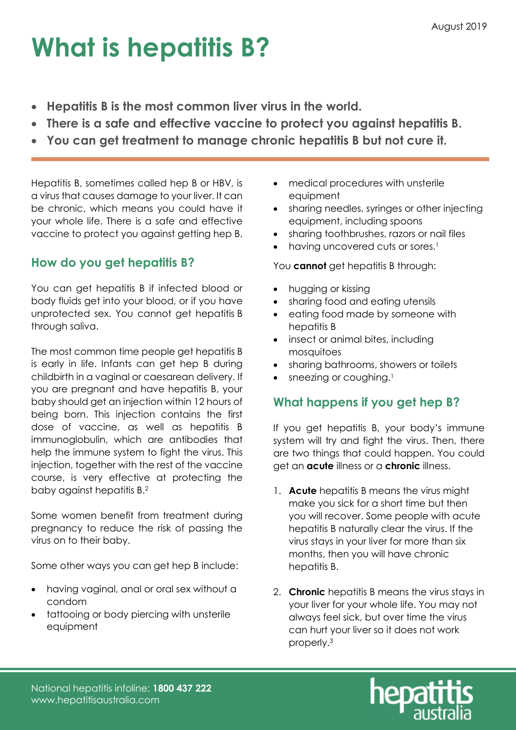## What is hepatitis B?

- Hepatitis B is the most common liver virus in the world.
- There is a safe and effective vaccine to protect you against hepatitis B.
- You can get treatment to manage chronic hepatitis B but not cure it.

Hepatitis B, sometimes called hep B or HBV, is a virus that causes damage to your liver. It can be chronic, which means you could have it your whole life. There is a safe and effective vaccine to protect you against getting hep B.

## How do you get hepatitis B?

You can get hepatitis B if infected blood or body fluids get into your blood, or if you have unprotected sex. You cannot get hepatitis B through saliva.

The most common time people get hepatitis B is early in life. Infants can get hep B during childbirth in a vaginal or caesarean delivery. If you are pregnant and have hepatitis B, your baby should get an injection within 12 hours of being born. This injection contains the first dose of vaccine, as well as hepatitis B immunoglobulin, which are antibodies that help the immune system to fight the virus. This injection, together with the rest of the vaccine course, is very effective at protecting the baby against hepatitis B.<sup>2</sup>

Some women benefit from treatment during pregnancy to reduce the risk of passing the virus on to their baby.

Some other ways you can get hep B include:

- having vaginal, anal or oral sex without a condom
- tattooing or body piercing with unsterile equipment
- medical procedures with unsterile equipment
- sharing needles, syringes or other injecting equipment, including spoons
- sharing toothbrushes, razors or nail files
- having uncovered cuts or sores.<sup>1</sup>

You **cannot** get hepatitis B through:

- hugging or kissing
- sharing food and eating utensils
- eating food made by someone with hepatitis B
- insect or animal bites, including mosquitoes
- sharing bathrooms, showers or toilets
- sneezing or coughing.<sup>1</sup>

## What happens if you get hep B?

If you get hepatitis B, your body's immune system will try and fight the virus. Then, there are two things that could happen. You could get an **acute** illness or a **chronic** illness.

- 1. Acute hepatitis B means the virus might make you sick for a short time but then you will recover. Some people with acute hepatitis B naturally clear the virus. If the virus stays in your liver for more than six months, then you will have chronic hepatitis B.
- 2. **Chronic** hepatitis B means the virus stays in your liver for your whole life. You may not always feel sick, but over time the virus can hurt your liver so it does not work properly.3